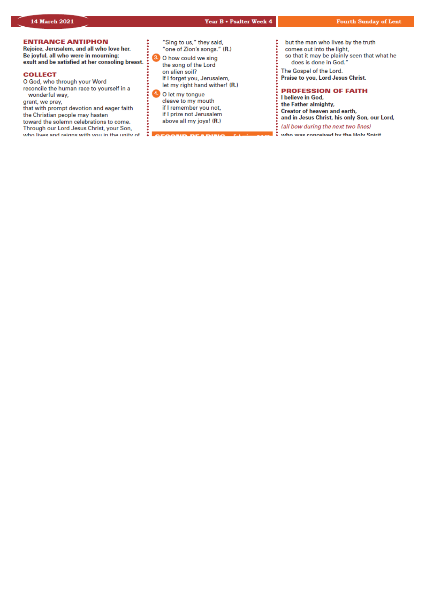# *Our Lady & St Edmund of Abingdon 1 Radley Rd, Abingdon on Thames, Oxon, OX14 3PL*

We are a *LiveSimply* parish aiming to live Simply, Sustainably and in Solidarity with the Poor

| Parish Priest:<br>Parish Secretary:<br>Office Hours:             | Fr. Jamie McGrath<br>Lisa Paterson<br>10.30am-12.30pm Tuesday to Friday                                           | Tel: 01235 520375<br>Tel: 01235 520375 |  |
|------------------------------------------------------------------|-------------------------------------------------------------------------------------------------------------------|----------------------------------------|--|
| Office Email:<br>We live stream all services                     | abingdon@portsmouthdiocese.org.uk                                                                                 |                                        |  |
| Safeguarding Team:<br>Visits at JR Hospital:<br>Visits and Help: | Tel. 07572 935 230<br>Priest/Chaplain 01865 221732<br>Society of Vincent de Paul Group, contact via Parish Office |                                        |  |
| Parish Website:<br>Primary School:                               | www.ourladyandstedmund.org.uk<br>St. Edmund's School, Radley Road, Abingdon, OX14 3PP Tel 521558                  |                                        |  |

Roman Catholic Diocese of Portsmouth Reg. Charity No 246871 www.portsmouthdiocese.org.uk

# **PARISH OFFICE OPENING HOURS:**

Please note that during this pandemic period, and until further notice, the Parish Office opening hours will be from **Tuesdays to Fridays from 10.30am to 12.30pm**. Outside of these times, Fr Jamie will respond to urgent phone messages as soon as he can.

#### **PRIVATE PRAYER**

We are blessed that the church can be open, but for **private prayer only**, on the following days and times: *Tuesdays:* **12pm to 1pm** *Fridays:* **12pm to 1pm**

#### **MASS BOOKINGS:**

*On Monday 15th March you can book for Masses from Sunday 21st to Saturday 27th March.*

*PLEASE* remember to give as many dates and times when you could attend, and book on the Monday – otherwise you may be disappointed. Also be clear on the number of people you are booking for and let us know if you would like to attend more than one Mass during the week.



# **No Internet Access?**

Phone 07395 946827 EACH MONDAY between 10am and 11am ONLY to book a place for the FOLLOWING week

#### **Have Internet Access?**

**DON'T phone. Instead, email:** contact@ourladyandstedmund.org.uk **EACH MONDAY, to book a place for the FOLLOWING week** 

#### **CONFESSIONS**

By appointment only for now. Please contact the *parish office* to book an appointment.

#### **NEWSLETTERS**

We are currently still not able to offer any printed material in church. Please bring your own newsletter with you if you would like to (you can download it from our website).

# **4th Week of Lent (Year B)**

*Attendance through booking system only, but also available on our live stream*

#### **Sunday 14 March**

| $10.15$ am         | Mass           |
|--------------------|----------------|
| 2.00 <sub>pm</sub> | Mass in Polish |
| 6.30 <sub>pm</sub> | Mass           |

(Pat & Wendy Cox, RIP)

(Mrs Willoughby, RIP)

#### **Monday 15 March**  9am Mass (Rosemary Perron, RIP)

**Tuesday 16 March**  NO Mass See: *www.ourladyandstedmund.org.uk/english-*

*martyrs-vale-of-white-horse* for other masses

**Wednesday 17 March** *St Patrick*

7pm Mass (Pat Castle, special intentions)

**Thursday 18 March**  9.30am Mass (Edward James Ryan, RIP)

**Friday 19 March** *St Joseph*

7pm Mass (Kristina Rapier, intentions)

**Saturday 20 March** 12pm Mass (Eva Stott, intentions)



#### **SPIRITUAL COMMUNION PRAYER:**

My Jesus, I believe that You are present in the Most Blessed Sacrament. I love You above all things, and I desire to receive You into my soul. Since I cannot today receive You sacramentally, come at least spiritually into my heart. I embrace You as if You were already there, and unite myself wholly to You. Never permit me to be separated from You. Amen.